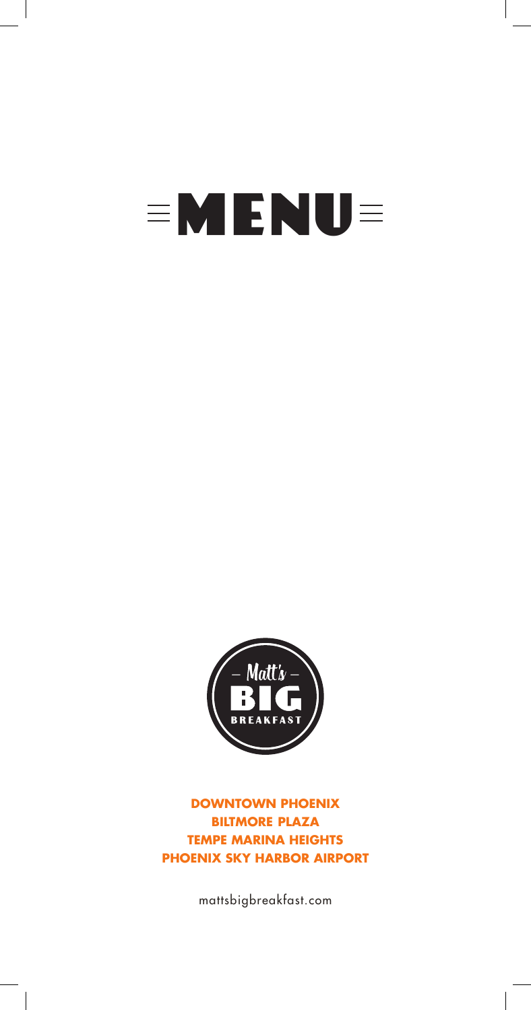# **EMENUE**



**DOWNTOWN PHOENIX BILTMORE PLAZA TEMPE MARINA HEIGHTS PHOENIX SKY HARBOR AIRPORT**

mattsbigbreakfast.com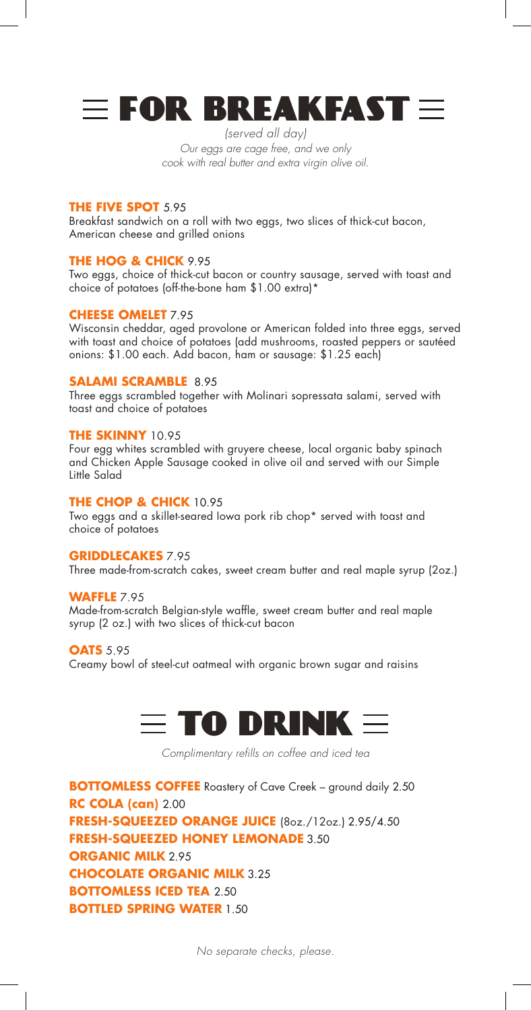

*(served all day) Our eggs are cage free, and we only cook with real butter and extra virgin olive oil.*

#### **THE FIVE SPOT** 5.95

Breakfast sandwich on a roll with two eggs, two slices of thick-cut bacon, American cheese and grilled onions

#### **THE HOG & CHICK** 9.95

Two eggs, choice of thick-cut bacon or country sausage, served with toast and choice of potatoes (off-the-bone ham \$1.00 extra)\*

#### **CHEESE OMELET** 7.95

Wisconsin cheddar, aged provolone or American folded into three eggs, served with toast and choice of potatoes (add mushrooms, roasted peppers or sautéed onions: \$1.00 each. Add bacon, ham or sausage: \$1.25 each)

#### **SALAMI SCRAMBLE** 8.95

Three eggs scrambled together with Molinari sopressata salami, served with toast and choice of potatoes

#### **THE SKINNY** 10.95

Four egg whites scrambled with gruyere cheese, local organic baby spinach and Chicken Apple Sausage cooked in olive oil and served with our Simple Little Salad

#### **THE CHOP & CHICK** 10.95

Two eggs and a skillet-seared Iowa pork rib chop\* served with toast and choice of potatoes

#### **GRIDDLECAKES** 7.95

Three made-from-scratch cakes, sweet cream butter and real maple syrup (2oz.)

#### **WAFFLE** 7.95

Made-from-scratch Belgian-style waffle, sweet cream butter and real maple syrup (2 oz.) with two slices of thick-cut bacon

#### **OATS** 5.95

Creamy bowl of steel-cut oatmeal with organic brown sugar and raisins



*Complimentary refills on coffee and iced tea*

**BOTTOMLESS COFFEE** Roastery of Cave Creek – ground daily 2.50 **RC COLA (can)** 2.00 **FRESH-SQUEEZED ORANGE JUICE** (8oz./12oz.) 2.95/4.50 **FRESH-SQUEEZED HONEY LEMONADE** 3.50 **ORGANIC MILK** 2.95 **CHOCOLATE ORGANIC MILK** 3.25 **BOTTOMLESS ICED TEA** 2.50 **BOTTLED SPRING WATER** 1.50

*No separate checks, please.*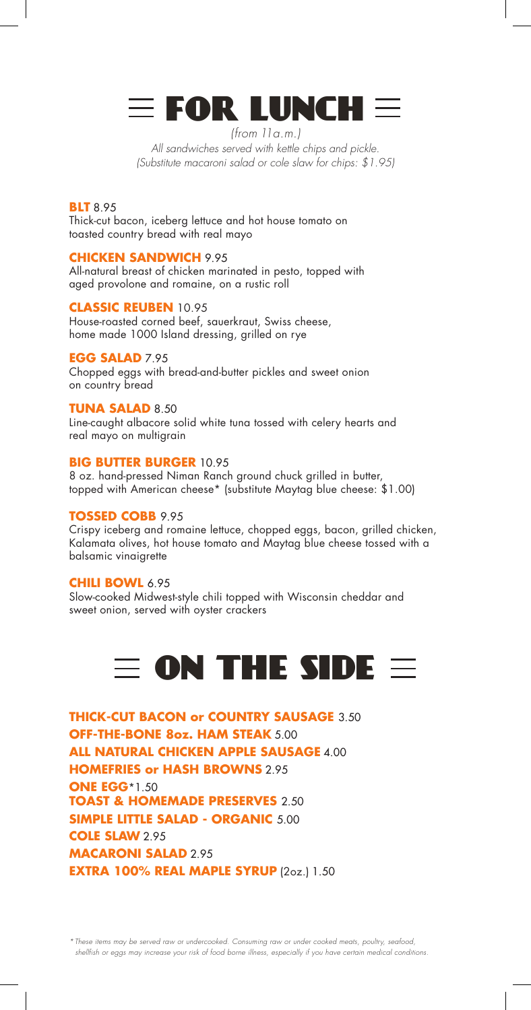## $\equiv$  FOR LUNCH  $\equiv$

*(from 11a.m.) All sandwiches served with kettle chips and pickle. (Substitute macaroni salad or cole slaw for chips: \$1.95)*

#### **BLT** 8.95

Thick-cut bacon, iceberg lettuce and hot house tomato on toasted country bread with real mayo

#### **CHICKEN SANDWICH** 9.95

All-natural breast of chicken marinated in pesto, topped with aged provolone and romaine, on a rustic roll

#### **CLASSIC REUBEN** 10.95

House-roasted corned beef, sauerkraut, Swiss cheese, home made 1000 Island dressing, grilled on rye

#### **EGG SALAD** 7.95

Chopped eggs with bread-and-butter pickles and sweet onion on country bread

#### **TUNA SALAD** 8.50

Line-caught albacore solid white tuna tossed with celery hearts and real mayo on multigrain

#### **BIG BUTTER BURGER** 10.95

8 oz. hand-pressed Niman Ranch ground chuck grilled in butter, topped with American cheese\* (substitute Maytag blue cheese: \$1.00)

#### **TOSSED COBB** 9.95

Crispy iceberg and romaine lettuce, chopped eggs, bacon, grilled chicken, Kalamata olives, hot house tomato and Maytag blue cheese tossed with a balsamic vinaigrette

#### **CHILI BOWL** 6.95

Slow-cooked Midwest-style chili topped with Wisconsin cheddar and sweet onion, served with oyster crackers

## $\equiv$  on the side  $\equiv$

**THICK-CUT BACON or COUNTRY SAUSAGE** 3.50 **OFF-THE-BONE 8oz. HAM STEAK** 5.00 **ALL NATURAL CHICKEN APPLE SAUSAGE** 4.00 **HOMEFRIES or HASH BROWNS** 2.95 **ONE EGG**\*1.50 **TOAST & HOMEMADE PRESERVES** 2.50 **SIMPLE LITTLE SALAD - ORGANIC** 5.00 **COLE SLAW** 2.95 **MACARONI SALAD** 2.95 **EXTRA 100% REAL MAPLE SYRUP** (2oz.) 1.50

*\*These items may be served raw or undercooked. Consuming raw or under cooked meats, poultry, seafood, shellfish or eggs may increase your risk of food borne illness, especially if you have certain medical conditions.*